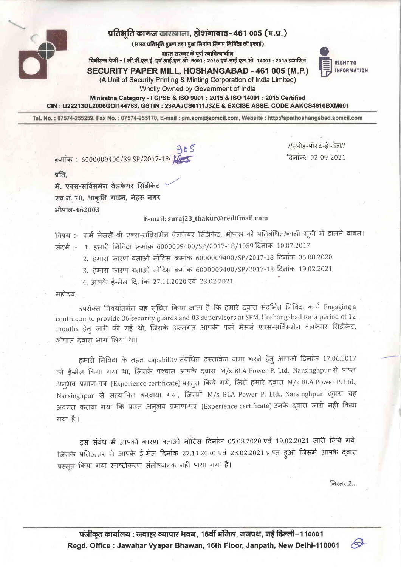

## प्रतिभति कागज कारखाना, होशंगाबाद-461 005 (म.प्र.)

(भारत प्रतिभृति मुद्रण तथा मुद्रा निर्माण निगम लिमिटेड की इकाई)

भारत सरकार के पर्ण स्वामित्वाधीन

मिनीरत्न श्रेणी – । सी.पी.एस.ई. एवं आई.एस.ओ. 9001 : 2015 एवं आई.एस.ओ. 14001 : 2015 प्रमाणित

**RIGHT TO INFORMATION** 

//स्पीड-पोस्ट-ई-मेल// दिनांक: 02-09-2021

**SECURITY PAPER MILL, HOSHANGABAD - 461 005 (M.P.)** (A Unit of Security Printing & Minting Corporation of India Limited)

Wholly Owned by Government of India

Miniratna Category - I CPSE & ISO 9001 : 2015 & ISO 14001 : 2015 Certified CIN: U22213DL2006GOI144763, GSTIN: 23AAJCS6111J3ZE & EXCISE ASSE. CODE AAKCS4610BXM001

Tel. No.: 07574-255259, Fax No.: 07574-255170, E-mail: gm.spm@spmcil.com, Website: http://spmhoshangabad.spmcil.com

क्रमांक: 6000009400/39 SP/2017-18/

 $\eta$ नि

मे. एक्स-सर्विसमेन वेलफेयर सिंडीकेट एच.नं. 70, आकृति गार्डन, नेहरू नगर भोपाल-462003

## E-mail: suraj23\_thakur@redifmail.com

विषय :- फर्म मेसर्स श्री एक्स-सर्विसमेन वेलफेयर सिंडीकेट, भोपाल को प्रतिबंधित/काली सूची में डालने बाबत। संदर्भ:- 1. हमारी निविदा क्रमांक 6000009400/SP/2017-18/1059 दिनांक 10.07.2017

- 2. हमारा कारण बताओ नोटिस क्रमांक 6000009400/SP/2017-18 दिनांक 05.08.2020
- 3. हमारा कारण बताओ नोटिस क्रमांक 6000009400/SP/2017-18 दिनांक 19.02.2021
- 4. आपके ई-मेल दिनांक 27.11.2020 एवं 23.02.2021

महोदय.

उपरोक्त विषयांतर्गत यह सूचित किया जाता है कि हमारे दवारा संदर्भित निविंदा कार्य Engaging a contractor to provide 36 security guards and 03 supervisors at SPM, Hoshangabad for a period of 12 months हेतु जारी की गई थी, जिसके अन्तर्गत आपकी फर्म मेसर्स एक्स-सर्विसमेन वेलफेयर सिंडीकेट, भोपाल दवारा भाग लिया था।

हमारी निविदा के तहत capability संबंधित दस्तावेज जमा करने हेतु आपको दिनांक 17.06.2017 को ई-मेल किया गया था, जिसके पश्चात आपके दवारा M/s BLA Power P. Ltd., Narsinghpur से प्राप्त अनुभव प्रमाण-पत्र (Experience certificate) प्रस्तुत किये गये, जिसे हमारे द्वारा M/s BLA Power P. Ltd., Narsinghpur से सत्यापित करवाया गया, जिसमें M/s BLA Power P. Ltd., Narsinghpur द्वारा यह अवगत कराया गया कि प्राप्त अनुभव प्रमाण-पत्र (Experience certificate) उनके द्वारा जारी नही किया गया है।

इस संबंध में आपको कारण बताओ नोटिस दिनांक 05.08.2020 एवं 19.02.2021 जारी किये गये, जिसके प्रतिउत्तर में आपके ई-मेल दिनांक 27.11.2020 एवं 23.02.2021 प्राप्त हुआ जिसमें आपके द्वारा प्रस्तुत किया गया स्पष्टीकरण संतोषजनक नही पाया गया है।

निरंतर.2...

 $\sigma$ 

पंजीकृत कार्यालय : जवाहर व्यापार भवन, 16वीं मंजिल, जनपथ, नई दिल्ली–110001 Regd. Office: Jawahar Vyapar Bhawan, 16th Floor, Janpath, New Delhi-110001